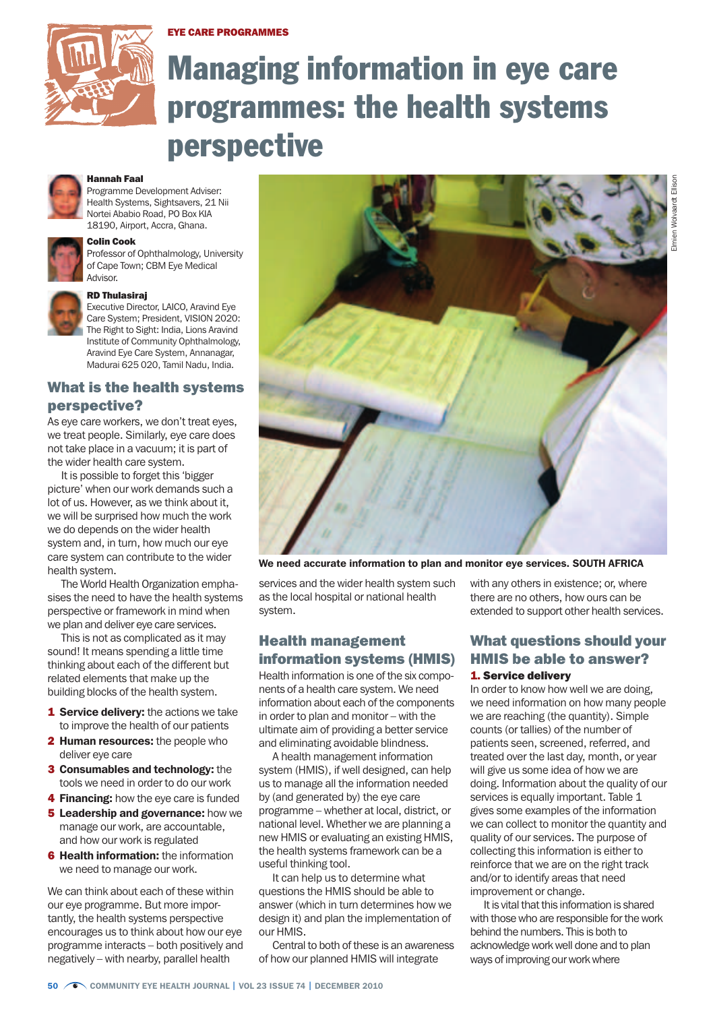Eye care programmes



# Managing information in eye care programmes: the health systems perspective

#### Hannah Faal

Programme Development Adviser: Health Systems, Sightsavers, 21 Nii Nortei Ababio Road, PO Box KIA 18190, Airport, Accra, Ghana.

# Colin Cook



Professor of Ophthalmology, University of Cape Town; CBM Eye Medical Advisor.



#### RD Thulasiraj

Executive Director, LAICO, Aravind Eye Care System; President, VISION 2020: The Right to Sight: India, Lions Aravind Institute of Community Ophthalmology, Aravind Eye Care System, Annanagar, Madurai 625 020, Tamil Nadu, India.

# What is the health systems perspective?

As eye care workers, we don't treat eyes, we treat people. Similarly, eye care does not take place in a vacuum; it is part of the wider health care system.

It is possible to forget this 'bigger picture' when our work demands such a lot of us. However, as we think about it, we will be surprised how much the work we do depends on the wider health system and, in turn, how much our eye care system can contribute to the wider health system.

The World Health Organization emphasises the need to have the health systems perspective or framework in mind when we plan and deliver eye care services.

This is not as complicated as it may sound! It means spending a little time thinking about each of the different but related elements that make up the building blocks of the health system.

- 1 Service delivery: the actions we take to improve the health of our patients
- 2 Human resources: the people who deliver eye care
- 3 Consumables and technology: the tools we need in order to do our work
- **4 Financing:** how the eye care is funded
- **5 Leadership and governance:** how we manage our work, are accountable, and how our work is regulated
- **6 Health information:** the information we need to manage our work.

We can think about each of these within our eye programme. But more importantly, the health systems perspective encourages us to think about how our eye programme interacts – both positively and negatively – with nearby, parallel health



We need accurate information to plan and monitor eye services. SOUTH AFRICA

services and the wider health system such as the local hospital or national health system.

# Health management information systems (HMIS)

Health information is one of the six components of a health care system. We need information about each of the components in order to plan and monitor – with the ultimate aim of providing a better service and eliminating avoidable blindness.

A health management information system (HMIS), if well designed, can help us to manage all the information needed by (and generated by) the eye care programme – whether at local, district, or national level. Whether we are planning a new HMIS or evaluating an existing HMIS, the health systems framework can be a useful thinking tool.

It can help us to determine what questions the HMIS should be able to answer (which in turn determines how we design it) and plan the implementation of our HMIS.

Central to both of these is an awareness of how our planned HMIS will integrate

with any others in existence; or, where there are no others, how ours can be extended to support other health services.

### What questions should your HMIS be able to answer? 1. Service delivery

In order to know how well we are doing, we need information on how many people we are reaching (the quantity). Simple counts (or tallies) of the number of patients seen, screened, referred, and treated over the last day, month, or year will give us some idea of how we are doing. Information about the quality of our services is equally important. Table 1 gives some examples of the information we can collect to monitor the quantity and quality of our services. The purpose of collecting this information is either to reinforce that we are on the right track and/or to identify areas that need improvement or change.

It is vital that this information is shared with those who are responsible for the work behind the numbers. This is both to acknowledge work well done and to plan ways of improving our work where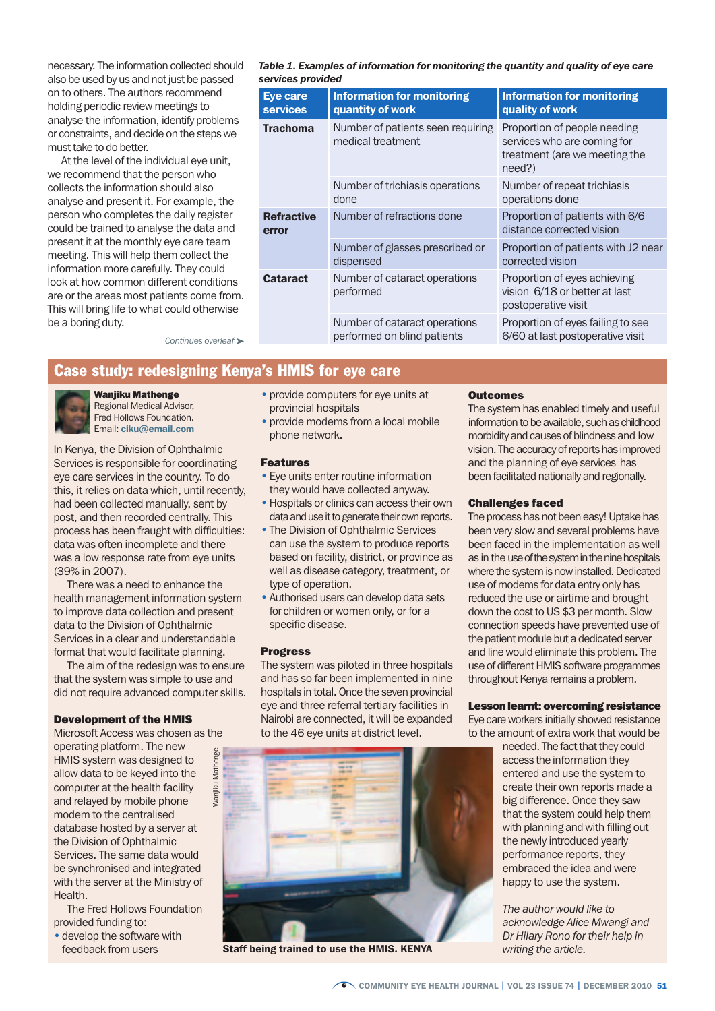necessary. The information collected should also be used by us and not just be passed on to others. The authors recommend holding periodic review meetings to analyse the information, identify problems or constraints, and decide on the steps we must take to do better.

At the level of the individual eye unit, we recommend that the person who collects the information should also analyse and present it. For example, the person who completes the daily register could be trained to analyse the data and present it at the monthly eye care team meeting. This will help them collect the information more carefully. They could look at how common different conditions are or the areas most patients come from. This will bring life to what could otherwise be a boring duty.

*Table 1. Examples of information for monitoring the quantity and quality of eye care services provided*

| <b>Eye care</b><br><b>services</b> | <b>Information for monitoring</b><br>quantity of work        | <b>Information for monitoring</b><br>quality of work                                                   |
|------------------------------------|--------------------------------------------------------------|--------------------------------------------------------------------------------------------------------|
| <b>Trachoma</b>                    | Number of patients seen requiring<br>medical treatment       | Proportion of people needing<br>services who are coming for<br>treatment (are we meeting the<br>need?) |
|                                    | Number of trichiasis operations<br>done                      | Number of repeat trichiasis<br>operations done                                                         |
| <b>Refractive</b><br>error         | Number of refractions done                                   | Proportion of patients with 6/6<br>distance corrected vision                                           |
|                                    | Number of glasses prescribed or<br>dispensed                 | Proportion of patients with J2 near<br>corrected vision                                                |
| <b>Cataract</b>                    | Number of cataract operations<br>performed                   | Proportion of eyes achieving<br>vision 6/18 or better at last<br>postoperative visit                   |
|                                    | Number of cataract operations<br>performed on blind patients | Proportion of eyes failing to see<br>6/60 at last postoperative visit                                  |

*Continues overleaf* ➤

# Case study: redesigning Kenya's HMIS for eye care

#### Wanjiku Mathenge



Regional Medical Advisor, Fred Hollows Foundation. Email: ciku@email.com

In Kenya, the Division of Ophthalmic Services is responsible for coordinating eye care services in the country. To do this, it relies on data which, until recently, had been collected manually, sent by post, and then recorded centrally. This process has been fraught with difficulties: data was often incomplete and there was a low response rate from eye units (39% in 2007).

There was a need to enhance the health management information system to improve data collection and present data to the Division of Ophthalmic Services in a clear and understandable format that would facilitate planning.

The aim of the redesign was to ensure that the system was simple to use and did not require advanced computer skills.

> Mathenge Wanjiku Mathenge

Wanjiku

#### Development of the HMIS

Microsoft Access was chosen as the operating platform. The new HMIS system was designed to allow data to be keyed into the computer at the health facility and relayed by mobile phone modem to the centralised database hosted by a server at the Division of Ophthalmic Services. The same data would be synchronised and integrated with the server at the Ministry of Health.

The Fred Hollows Foundation provided funding to:

• develop the software with feedback from users

- provide computers for eye units at provincial hospitals
- provide modems from a local mobile phone network.

#### Features

- Eye units enter routine information they would have collected anyway.
- •Hospitals or clinics can access their own data and use it to generate their own reports.
- The Division of Ophthalmic Services can use the system to produce reports based on facility, district, or province as well as disease category, treatment, or type of operation.
- Authorised users can develop data sets for children or women only, or for a specific disease.

#### Progress

The system was piloted in three hospitals and has so far been implemented in nine hospitals in total. Once the seven provincial eye and three referral tertiary facilities in Nairobi are connected, it will be expanded to the 46 eye units at district level.



Staff being trained to use the HMIS. KENYA

#### **Outcomes**

The system has enabled timely and useful information to be available, such as childhood morbidity and causes of blindness and low vision. The accuracy of reports has improved and the planning of eye services has been facilitated nationally and regionally.

#### Challenges faced

The process has not been easy! Uptake has been very slow and several problems have been faced in the implementation as well as in the use of the system in the nine hospitals where the system is now installed. Dedicated use of modems for data entry only has reduced the use or airtime and brought down the cost to US \$3 per month. Slow connection speeds have prevented use of the patient module but a dedicated server and line would eliminate this problem. The use of different HMIS software programmes throughout Kenya remains a problem.

#### Lesson learnt: overcoming resistance

Eye care workers initially showed resistance to the amount of extra work that would be

needed. The fact that they could access the information they entered and use the system to create their own reports made a big difference. Once they saw that the system could help them with planning and with filling out the newly introduced yearly performance reports, they embraced the idea and were happy to use the system.

*The author would like to acknowledge Alice Mwangi and Dr Hilary Rono for their help in writing the article.*